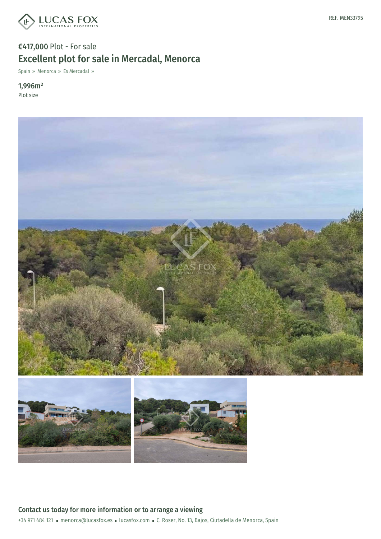

# €417,000 Plot - For sale Excellent plot for sale in Mercadal, Menorca

Spain » Menorca » Es Mercadal »

1,996m² Plot size



+34 971 484 121 · menorca@lucasfox.es · lucasfox.com · C. Roser, No. 13, Bajos, Ciutadella de Menorca, Spain Contact us today for more information or to arrange a viewing